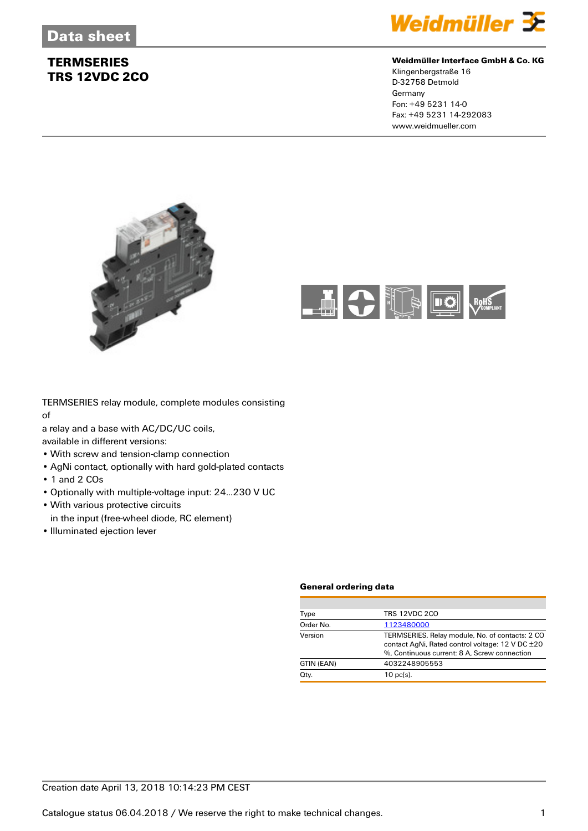

#### **Weidmüller Interface GmbH & Co. KG**

Klingenbergstraße 16 D-32758 Detmold Germany Fon: +49 5231 14-0 Fax: +49 5231 14-292083 www.weidmueller.com





TERMSERIES relay module, complete modules consisting of

a relay and a base with AC/DC/UC coils,

available in different versions:

- With screw and tension-clamp connection
- AgNi contact, optionally with hard gold-plated contacts
- 1 and 2 COs
- Optionally with multiple-voltage input: 24...230 V UC
- With various protective circuits
- in the input (free-wheel diode, RC element)
- Illuminated ejection lever

#### **General ordering data**

| <b>TRS 12VDC 2CO</b><br>Type                                                                                                                                   |
|----------------------------------------------------------------------------------------------------------------------------------------------------------------|
|                                                                                                                                                                |
| Order No.<br>1123480000                                                                                                                                        |
| Version<br>TERMSERIES, Relay module, No. of contacts: 2 CO<br>contact AgNi, Rated control voltage: 12 V DC ±20<br>%. Continuous current: 8 A. Screw connection |
| GTIN (EAN)<br>4032248905553                                                                                                                                    |
| Qty.<br>$10$ pc(s).                                                                                                                                            |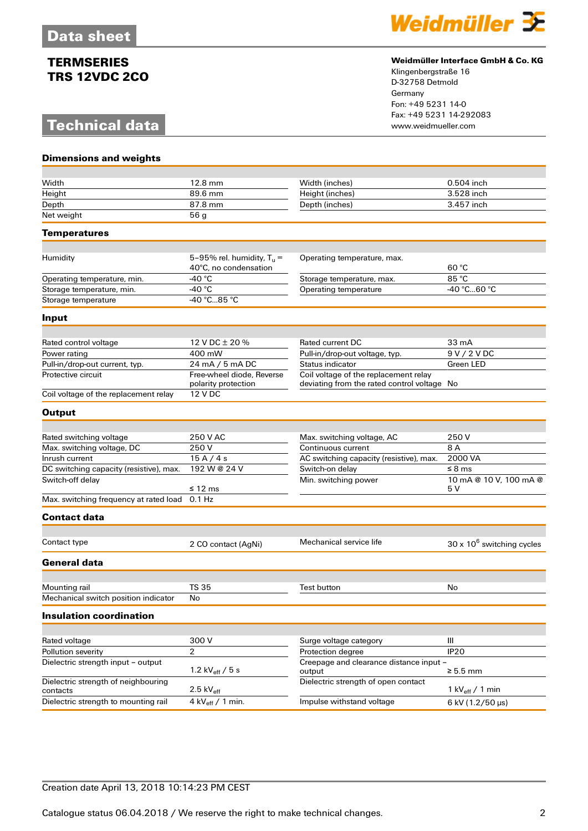# **Technical data**



#### **Weidmüller Interface GmbH & Co. KG**

Klingenbergstraße 16 D-32758 Detmold Germany Fon: +49 5231 14-0 Fax: +49 5231 14-292083

| <b>Dimensions and weights</b>                   |                                                             |                                                                                      |                                   |
|-------------------------------------------------|-------------------------------------------------------------|--------------------------------------------------------------------------------------|-----------------------------------|
|                                                 |                                                             |                                                                                      |                                   |
| Width                                           | 12.8 mm                                                     | Width (inches)                                                                       | $0.504$ inch                      |
| Height                                          | 89.6 mm                                                     | Height (inches)                                                                      | 3.528 inch                        |
| Depth                                           | 87.8 mm                                                     | Depth (inches)                                                                       | 3.457 inch                        |
| Net weight                                      | 56 <sub>g</sub>                                             |                                                                                      |                                   |
| <b>Temperatures</b>                             |                                                             |                                                                                      |                                   |
|                                                 |                                                             |                                                                                      |                                   |
| Humidity                                        | 5-95% rel. humidity, $T_{\rm u}$ =<br>40°C, no condensation | Operating temperature, max.                                                          | 60 °C                             |
| Operating temperature, min.                     | -40 $^{\circ}$ C                                            | Storage temperature, max.                                                            | 85 °C                             |
| Storage temperature, min.                       | -40 $^{\circ}$ C                                            | Operating temperature                                                                | -40 °C60 °C                       |
| Storage temperature                             | -40 °C85 °C                                                 |                                                                                      |                                   |
| Input                                           |                                                             |                                                                                      |                                   |
|                                                 |                                                             |                                                                                      |                                   |
| Rated control voltage                           | 12 V DC ± 20 %<br>400 mW                                    | Rated current DC                                                                     | 33 mA                             |
| Power rating                                    |                                                             | Pull-in/drop-out voltage, typ.<br>Status indicator                                   | 9 V / 2 V DC                      |
| Pull-in/drop-out current, typ.                  | 24 mA / 5 mA DC                                             |                                                                                      | Green LED                         |
| Protective circuit                              | Free-wheel diode, Reverse<br>polarity protection            | Coil voltage of the replacement relay<br>deviating from the rated control voltage No |                                   |
| Coil voltage of the replacement relay           | 12 V DC                                                     |                                                                                      |                                   |
| <b>Output</b>                                   |                                                             |                                                                                      |                                   |
| Rated switching voltage                         | 250 V AC                                                    | Max. switching voltage, AC                                                           | 250V                              |
| Max. switching voltage, DC                      | 250V                                                        | Continuous current                                                                   | 8 A                               |
| Inrush current                                  | 15A/4s                                                      | AC switching capacity (resistive), max.                                              | 2000 VA                           |
| DC switching capacity (resistive), max.         | 192 W @ 24 V                                                | Switch-on delay                                                                      | $\leq$ 8 ms                       |
| Switch-off delay                                |                                                             | Min. switching power                                                                 | 10 mA @ 10 V, 100 mA @            |
|                                                 | $\leq 12$ ms                                                |                                                                                      | 5 V                               |
| Max. switching frequency at rated load          | $0.1$ Hz                                                    |                                                                                      |                                   |
| <b>Contact data</b>                             |                                                             |                                                                                      |                                   |
| Contact type                                    |                                                             | Mechanical service life                                                              |                                   |
|                                                 | 2 CO contact (AgNi)                                         |                                                                                      | $30 \times 10^6$ switching cycles |
| General data                                    |                                                             |                                                                                      |                                   |
| Mounting rail                                   | <b>TS 35</b>                                                | Test button                                                                          | No                                |
| Mechanical switch position indicator            | No                                                          |                                                                                      |                                   |
| <b>Insulation coordination</b>                  |                                                             |                                                                                      |                                   |
|                                                 |                                                             |                                                                                      |                                   |
| Rated voltage                                   | 300 V                                                       | Surge voltage category                                                               | Ш                                 |
| Pollution severity                              | 2                                                           | Protection dearee                                                                    | <b>IP20</b>                       |
| Dielectric strength input - output              | 1.2 $kV_{\text{eff}}/5$ s                                   | Creepage and clearance distance input -<br>output                                    | $\geq 5.5$ mm                     |
| Dielectric strength of neighbouring<br>contacts | 2.5 $kV_{eff}$                                              | Dielectric strength of open contact                                                  | 1 kV $_{\text{eff}}$ / 1 min      |
| Dielectric strength to mounting rail            | 4 kV $_{\text{eff}}$ / 1 min.                               | Impulse withstand voltage                                                            | 6 kV (1.2/50 µs)                  |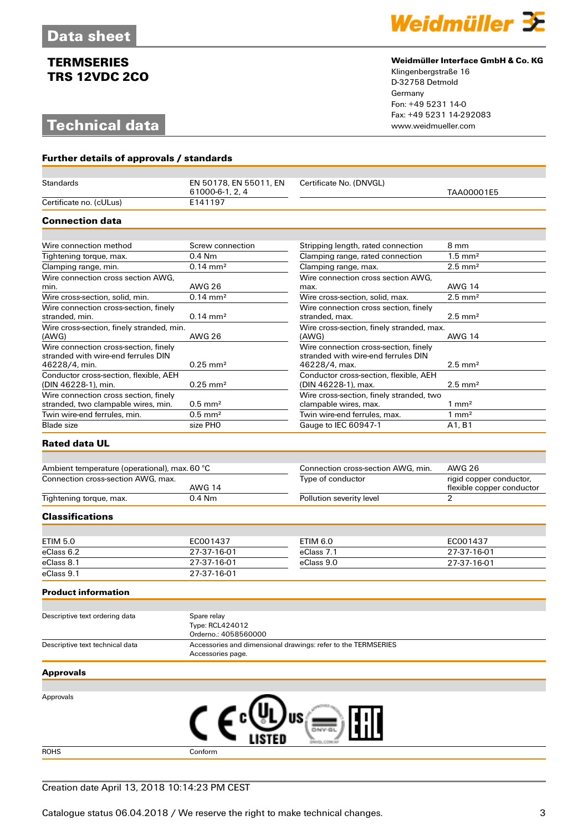# **Technical data**



#### **Weidmüller Interface GmbH & Co. KG**

Klingenbergstraße 16 D-32758 Detmold Germany Fon: +49 5231 14-0 Fax: +49 5231 14-292083

| <b>Further details of approvals / standards</b>                                               |                                                        |                                                                                               |                                 |
|-----------------------------------------------------------------------------------------------|--------------------------------------------------------|-----------------------------------------------------------------------------------------------|---------------------------------|
| <b>Standards</b>                                                                              | EN 50178, EN 55011, EN<br>61000-6-1, 2, 4              | Certificate No. (DNVGL)                                                                       | TAA00001E5                      |
| Certificate no. (cULus)                                                                       | E141197                                                |                                                                                               |                                 |
| <b>Connection data</b>                                                                        |                                                        |                                                                                               |                                 |
|                                                                                               |                                                        |                                                                                               |                                 |
| Wire connection method                                                                        | Screw connection                                       | Stripping length, rated connection                                                            | 8 mm                            |
| Tightening torque, max.                                                                       | $0.4$ Nm                                               | Clamping range, rated connection                                                              | $1.5$ mm <sup>2</sup>           |
| Clamping range, min.                                                                          | $0.14 \, \text{mm}^2$                                  | Clamping range, max.                                                                          | $2.5 \text{ mm}^2$              |
| Wire connection cross section AWG.                                                            |                                                        | Wire connection cross section AWG,                                                            |                                 |
| min.                                                                                          | <b>AWG 26</b>                                          | max.                                                                                          | <b>AWG 14</b>                   |
| Wire cross-section, solid, min.                                                               | $0.14 \, \text{mm}^2$                                  | Wire cross-section, solid, max.                                                               | $2.5$ mm <sup>2</sup>           |
| Wire connection cross-section, finely<br>stranded, min.                                       | $0.14 \, \text{mm}^2$                                  | Wire connection cross section, finely<br>stranded, max.                                       | $2.5$ mm <sup>2</sup>           |
| Wire cross-section, finely stranded, min.<br>(AWG)                                            | AWG 26                                                 | Wire cross-section, finely stranded, max.<br>(AWG)                                            | <b>AWG 14</b>                   |
| Wire connection cross-section, finely<br>stranded with wire-end ferrules DIN<br>46228/4, min. | $0.25$ mm <sup>2</sup>                                 | Wire connection cross-section, finely<br>stranded with wire-end ferrules DIN<br>46228/4, max. | $2.5 \text{ mm}^2$              |
| Conductor cross-section, flexible, AEH<br>(DIN 46228-1), min.                                 | $0.25$ mm <sup>2</sup>                                 | Conductor cross-section, flexible, AEH<br>(DIN 46228-1), max.                                 | $2.5 \text{ mm}^2$              |
| Wire connection cross section, finely                                                         |                                                        | Wire cross-section, finely stranded, two                                                      |                                 |
| stranded, two clampable wires, min.                                                           | $0.5$ mm <sup>2</sup>                                  | clampable wires, max.                                                                         | $1 \text{ mm}^2$                |
| Twin wire-end ferrules, min.                                                                  | $0.5$ mm <sup>2</sup>                                  | Twin wire-end ferrules, max.                                                                  | $1 \text{ mm}^2$                |
| <b>Blade</b> size                                                                             | size PHO                                               | Gauge to IEC 60947-1                                                                          | A <sub>1</sub> , B <sub>1</sub> |
| <b>Rated data UL</b>                                                                          |                                                        |                                                                                               |                                 |
| Ambient temperature (operational), max. 60 °C                                                 |                                                        | Connection cross-section AWG, min.                                                            | <b>AWG 26</b>                   |
| Connection cross-section AWG, max.                                                            |                                                        | Type of conductor                                                                             | rigid copper conductor,         |
|                                                                                               | <b>AWG 14</b>                                          |                                                                                               | flexible copper conductor       |
| Tightening torque, max.                                                                       | $0.4$ Nm                                               | Pollution severity level                                                                      | $\overline{2}$                  |
| <b>Classifications</b>                                                                        |                                                        |                                                                                               |                                 |
|                                                                                               |                                                        |                                                                                               |                                 |
| <b>ETIM 5.0</b>                                                                               | EC001437                                               | <b>ETIM 6.0</b>                                                                               | EC001437                        |
| eClass 6.2                                                                                    | 27-37-16-01                                            | eClass 7.1                                                                                    | 27-37-16-01                     |
| eClass 8.1                                                                                    | 27-37-16-01                                            | eClass 9.0                                                                                    | 27-37-16-01                     |
| eClass 9.1                                                                                    | 27-37-16-01                                            |                                                                                               |                                 |
| <b>Product information</b>                                                                    |                                                        |                                                                                               |                                 |
|                                                                                               |                                                        |                                                                                               |                                 |
| Descriptive text ordering data                                                                | Spare relay<br>Type: RCL424012<br>Orderno.: 4058560000 |                                                                                               |                                 |
| Descriptive text technical data                                                               | Accessories page.                                      | Accessories and dimensional drawings: refer to the TERMSERIES                                 |                                 |
| <b>Approvals</b>                                                                              |                                                        |                                                                                               |                                 |
|                                                                                               |                                                        |                                                                                               |                                 |
| Approvals                                                                                     | C E                                                    | $\frac{1}{\sqrt{1-\frac{1}{2}}\sqrt{\frac{1}{2}}\left(\frac{1}{\sqrt{1-\frac{1}{2}}}\right)}$ |                                 |

ROHS Conform

#### Creation date April 13, 2018 10:14:23 PM CEST

Catalogue status 06.04.2018 / We reserve the right to make technical changes. 33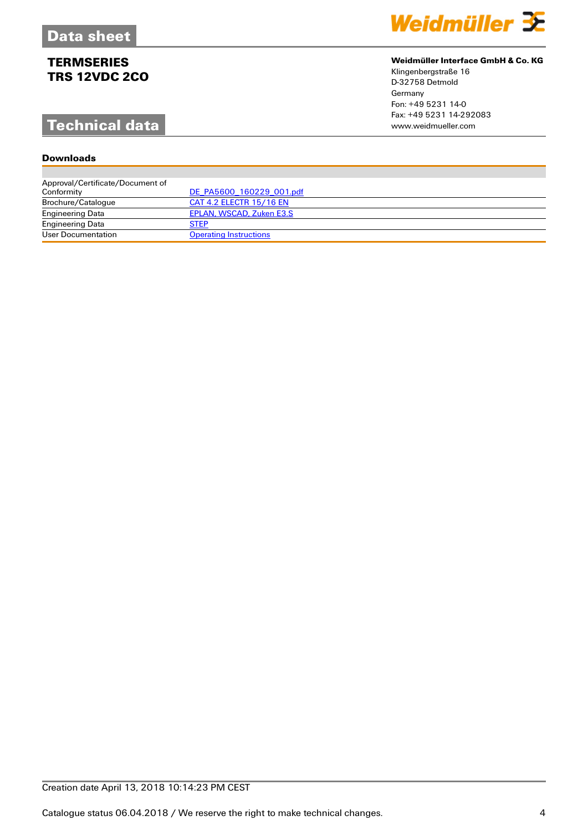# **Technical data**

### **Downloads**

| Weidmüller $\mathbf \Xi$ |  |  |
|--------------------------|--|--|
|                          |  |  |

### **Weidmüller Interface GmbH & Co. KG**

Klingenbergstraße 16 D-32758 Detmold Germany Fon: +49 5231 14-0 Fax: +49 5231 14-292083

| Approval/Certificate/Document of |                               |
|----------------------------------|-------------------------------|
| Conformity                       | DE PA5600 160229 001.pdf      |
| Brochure/Catalogue               | CAT 4.2 ELECTR 15/16 EN       |
| <b>Engineering Data</b>          | EPLAN, WSCAD, Zuken E3.S      |
| <b>Engineering Data</b>          | <b>STEP</b>                   |
| User Documentation               | <b>Operating Instructions</b> |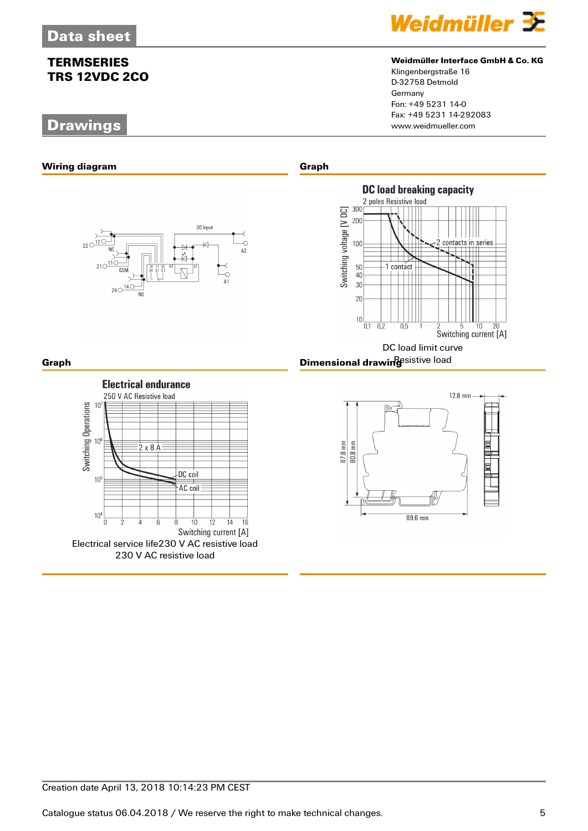# **Drawings**



### **Weidmüller Interface GmbH & Co. KG**

Klingenbergstraße 16 D-32758 Detmold Germany Fon: +49 5231 14-0 Fax: +49 5231 14-292083